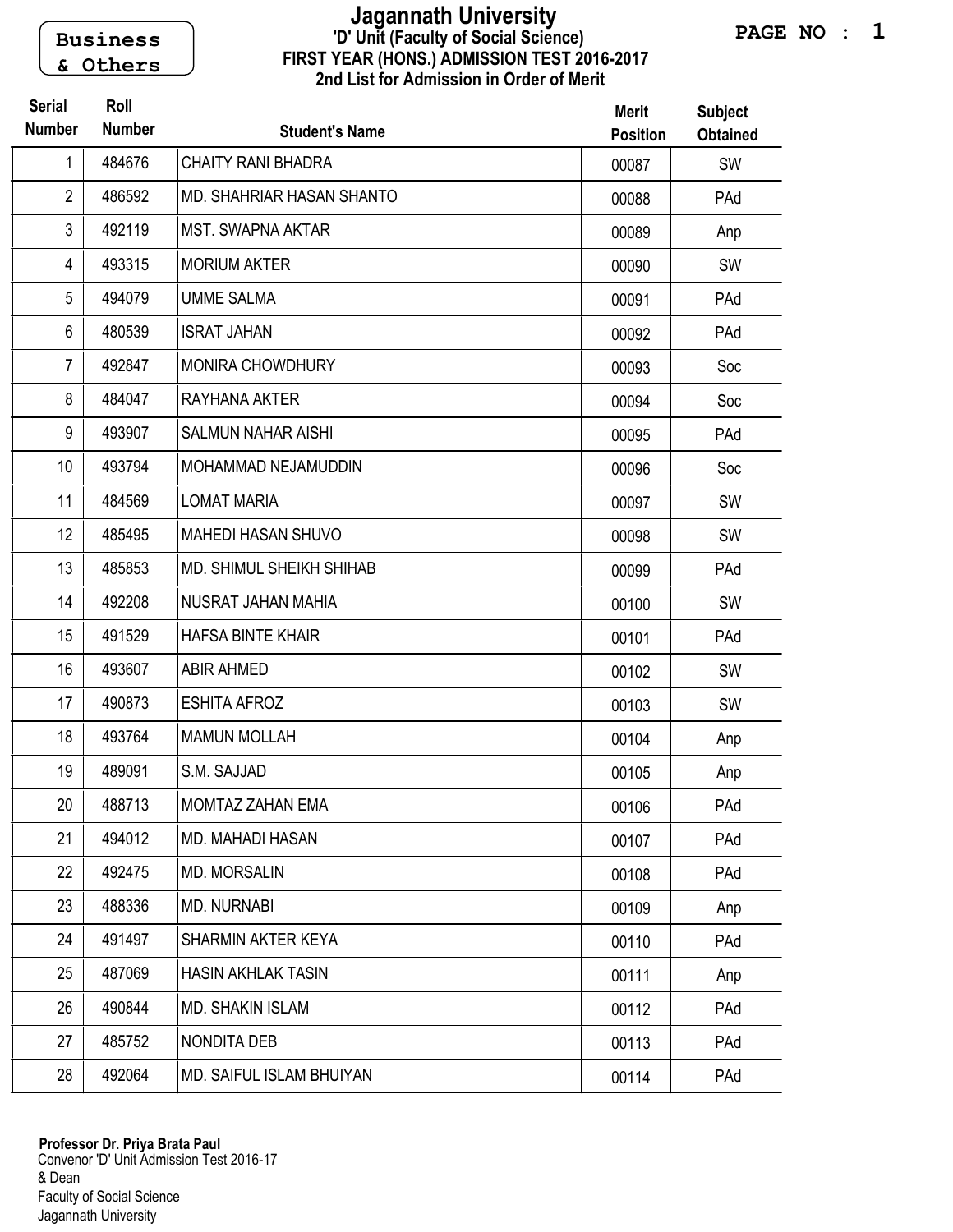Business & Others

## FIRST YEAR (HONS.) ADMISSION TEST 2016-2017 2nd List for Admission in Order of Merit 'D' Unit (Faculty of Social Science) Jagannath University

| <b>Serial</b><br><b>Number</b> | Roll<br><b>Number</b> | <b>Student's Name</b>     | <b>Merit</b><br><b>Position</b> | <b>Subject</b><br><b>Obtained</b> |
|--------------------------------|-----------------------|---------------------------|---------------------------------|-----------------------------------|
| 1                              | 484676                | <b>CHAITY RANI BHADRA</b> | 00087                           | SW                                |
| $\mathbf{2}$                   | 486592                | MD. SHAHRIAR HASAN SHANTO | 00088                           | PAd                               |
| 3                              | 492119                | <b>MST. SWAPNA AKTAR</b>  | 00089                           | Anp                               |
| $\overline{4}$                 | 493315                | <b>MORIUM AKTER</b>       | 00090                           | SW                                |
| 5                              | 494079                | <b>UMME SALMA</b>         | 00091                           | PAd                               |
| 6                              | 480539                | <b>ISRAT JAHAN</b>        | 00092                           | PAd                               |
| $\overline{7}$                 | 492847                | MONIRA CHOWDHURY          | 00093                           | Soc                               |
| 8                              | 484047                | RAYHANA AKTER             | 00094                           | Soc                               |
| 9                              | 493907                | <b>SALMUN NAHAR AISHI</b> | 00095                           | PAd                               |
| 10                             | 493794                | MOHAMMAD NEJAMUDDIN       | 00096                           | Soc                               |
| 11                             | 484569                | <b>LOMAT MARIA</b>        | 00097                           | SW                                |
| 12                             | 485495                | <b>MAHEDI HASAN SHUVO</b> | 00098                           | SW                                |
| 13                             | 485853                | MD. SHIMUL SHEIKH SHIHAB  | 00099                           | PAd                               |
| 14                             | 492208                | NUSRAT JAHAN MAHIA        | 00100                           | SW                                |
| 15                             | 491529                | <b>HAFSA BINTE KHAIR</b>  | 00101                           | PAd                               |
| 16                             | 493607                | <b>ABIR AHMED</b>         | 00102                           | SW                                |
| 17                             | 490873                | <b>ESHITA AFROZ</b>       | 00103                           | SW                                |
| 18                             | 493764                | <b>MAMUN MOLLAH</b>       | 00104                           | Anp                               |
| 19                             | 489091                | S.M. SAJJAD               | 00105                           | Anp                               |
| 20                             | 488713                | MOMTAZ ZAHAN EMA          | 00106                           | PAd                               |
| 21                             | 494012                | <b>MD. MAHADI HASAN</b>   | 00107                           | PAd                               |
| 22                             | 492475                | <b>MD. MORSALIN</b>       | 00108                           | PAd                               |
| 23                             | 488336                | <b>MD. NURNABI</b>        | 00109                           | Anp                               |
| 24                             | 491497                | SHARMIN AKTER KEYA        | 00110                           | PAd                               |
| 25                             | 487069                | <b>HASIN AKHLAK TASIN</b> | 00111                           | Anp                               |
| 26                             | 490844                | <b>MD. SHAKIN ISLAM</b>   | 00112                           | PAd                               |
| 27                             | 485752                | NONDITA DEB               | 00113                           | PAd                               |
| 28                             | 492064                | MD. SAIFUL ISLAM BHUIYAN  | 00114                           | PAd                               |